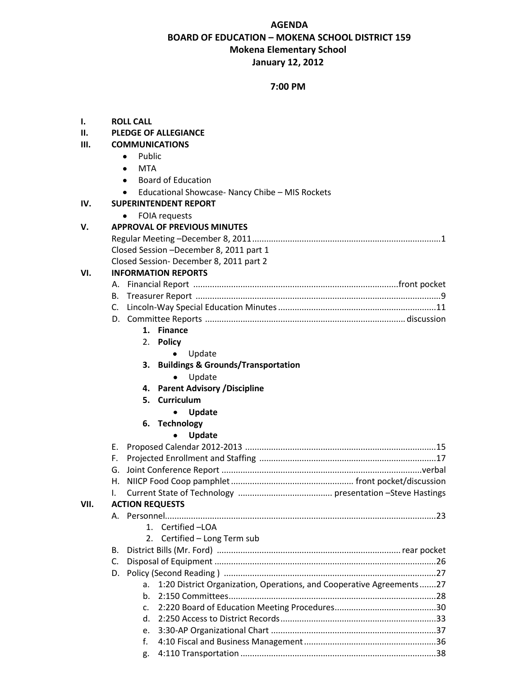# **AGENDA BOARD OF EDUCATION – MOKENA SCHOOL DISTRICT 159 Mokena Elementary School January 12, 2012**

### **7:00 PM**

| <b>ROLL CALL</b> |
|------------------|
|------------------|

#### **II. PLEDGE OF ALLEGIANCE**

## **III. COMMUNICATIONS**

- Public
- MTA
- Board of Education
- Educational Showcase- Nancy Chibe MIS Rockets

# **IV. SUPERINTENDENT REPORT**

FOIA requests

# **V. APPROVAL OF PREVIOUS MINUTES**

| Closed Session –December 8, 2011 part 1 |  |
|-----------------------------------------|--|
| Closed Session-December 8, 2011 part 2  |  |

# **VI. INFORMATION REPORTS**

- **1. Finance**
- 2. **Policy**
	- Update
- **3. Buildings & Grounds/Transportation**
	- Update
- **4. Parent Advisory /Discipline**
- **5. Curriculum**
	- **Update**
- **6. Technology**
	- **Update**

|      | Е. |    |                                                                         |  |  |
|------|----|----|-------------------------------------------------------------------------|--|--|
|      | F. |    |                                                                         |  |  |
|      |    |    |                                                                         |  |  |
|      |    |    |                                                                         |  |  |
|      | L. |    |                                                                         |  |  |
| VII. |    |    | <b>ACTION REQUESTS</b>                                                  |  |  |
|      |    |    |                                                                         |  |  |
|      |    |    | 1. Certified - LOA                                                      |  |  |
|      |    |    | 2. Certified - Long Term sub                                            |  |  |
|      | В. |    |                                                                         |  |  |
|      |    |    |                                                                         |  |  |
|      |    |    |                                                                         |  |  |
|      |    |    | a. 1:20 District Organization, Operations, and Cooperative Agreements27 |  |  |
|      |    | b. |                                                                         |  |  |
|      |    |    |                                                                         |  |  |
|      |    | d. |                                                                         |  |  |
|      |    | e. |                                                                         |  |  |
|      |    | f. |                                                                         |  |  |
|      |    | g. |                                                                         |  |  |